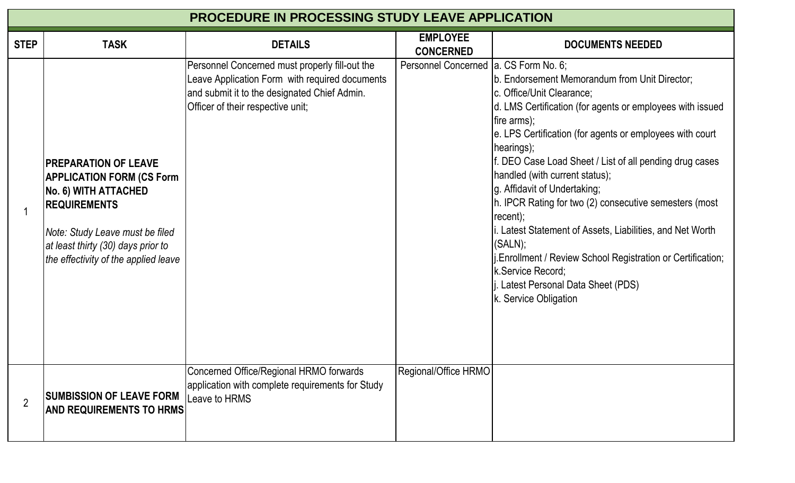| <b>PROCEDURE IN PROCESSING STUDY LEAVE APPLICATION</b> |                                                                                                                                                                                                                                   |                                                                                                                                                                                       |                                         |                                                                                                                                                                                                                                                                                                                                                                                                                                                                                                                                                                                                                                                            |  |  |  |  |
|--------------------------------------------------------|-----------------------------------------------------------------------------------------------------------------------------------------------------------------------------------------------------------------------------------|---------------------------------------------------------------------------------------------------------------------------------------------------------------------------------------|-----------------------------------------|------------------------------------------------------------------------------------------------------------------------------------------------------------------------------------------------------------------------------------------------------------------------------------------------------------------------------------------------------------------------------------------------------------------------------------------------------------------------------------------------------------------------------------------------------------------------------------------------------------------------------------------------------------|--|--|--|--|
| <b>STEP</b>                                            | <b>TASK</b>                                                                                                                                                                                                                       | <b>DETAILS</b>                                                                                                                                                                        | <b>EMPLOYEE</b><br><b>CONCERNED</b>     | <b>DOCUMENTS NEEDED</b>                                                                                                                                                                                                                                                                                                                                                                                                                                                                                                                                                                                                                                    |  |  |  |  |
|                                                        | <b>IPREPARATION OF LEAVE</b><br><b>APPLICATION FORM (CS Form</b><br>No. 6) WITH ATTACHED<br><b>IREQUIREMENTS</b><br>Note: Study Leave must be filed<br>at least thirty (30) days prior to<br>the effectivity of the applied leave | Personnel Concerned must properly fill-out the<br>Leave Application Form with required documents<br>and submit it to the designated Chief Admin.<br>Officer of their respective unit; | Personnel Concerned   a. CS Form No. 6; | b. Endorsement Memorandum from Unit Director;<br>c. Office/Unit Clearance;<br>d. LMS Certification (for agents or employees with issued<br>fire arms);<br>e. LPS Certification (for agents or employees with court<br>hearings);<br>f. DEO Case Load Sheet / List of all pending drug cases<br>handled (with current status);<br>g. Affidavit of Undertaking;<br>h. IPCR Rating for two (2) consecutive semesters (most<br>recent);<br>i. Latest Statement of Assets, Liabilities, and Net Worth<br>(SALN);<br>Enrollment / Review School Registration or Certification;<br>k.Service Record;<br>Latest Personal Data Sheet (PDS)<br>k. Service Obligation |  |  |  |  |
| $\overline{2}$                                         | <b>SUMBISSION OF LEAVE FORM</b><br><b>AND REQUIREMENTS TO HRMS</b>                                                                                                                                                                | Concerned Office/Regional HRMO forwards<br>application with complete requirements for Study<br>Leave to HRMS                                                                          | Regional/Office HRMO                    |                                                                                                                                                                                                                                                                                                                                                                                                                                                                                                                                                                                                                                                            |  |  |  |  |